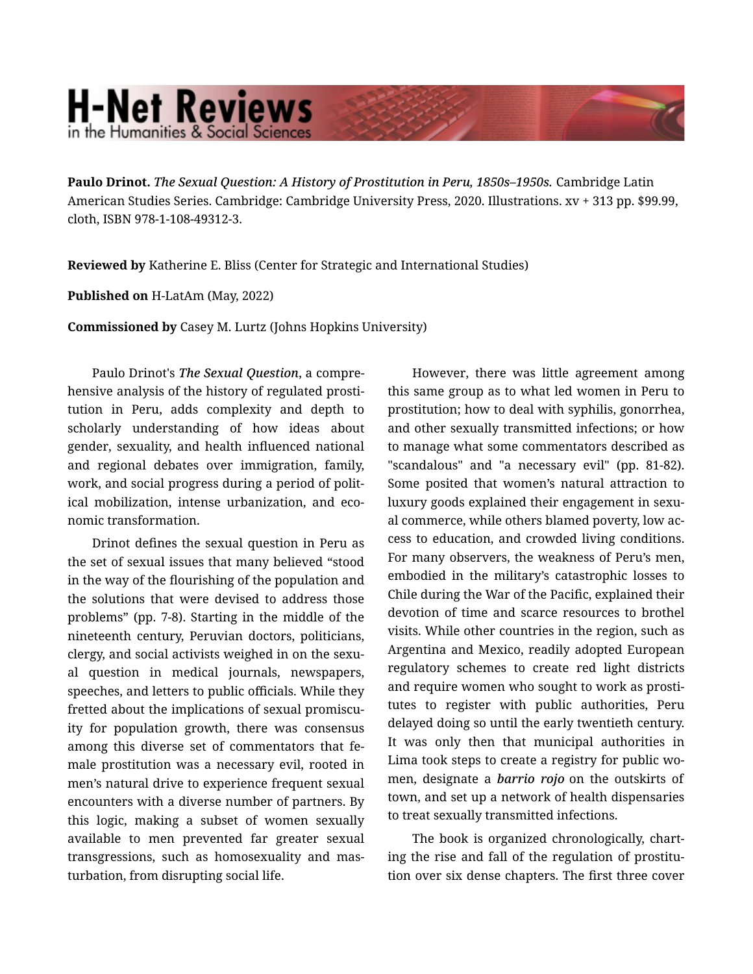## **H-Net Reviews** in the Humanities & Social Science

**Paulo Drinot.** *The Sexual Question: A History of Prostitution in Peru, 1850s–1950s.* Cambridge Latin American Studies Series. Cambridge: Cambridge University Press, 2020. Illustrations. xv + 313 pp. \$99.99, cloth, ISBN 978-1-108-49312-3.

**Reviewed by** Katherine E. Bliss (Center for Strategic and International Studies)

**Published on** H-LatAm (May, 2022)

**Commissioned by** Casey M. Lurtz (Johns Hopkins University)

Paulo Drinot's *The Sexual Question*, a compre‐ hensive analysis of the history of regulated prosti‐ tution in Peru, adds complexity and depth to scholarly understanding of how ideas about gender, sexuality, and health influenced national and regional debates over immigration, family, work, and social progress during a period of polit‐ ical mobilization, intense urbanization, and eco‐ nomic transformation.

Drinot defines the sexual question in Peru as the set of sexual issues that many believed "stood in the way of the flourishing of the population and the solutions that were devised to address those problems" (pp. 7-8). Starting in the middle of the nineteenth century, Peruvian doctors, politicians, clergy, and social activists weighed in on the sexu‐ al question in medical journals, newspapers, speeches, and letters to public officials. While they fretted about the implications of sexual promiscuity for population growth, there was consensus among this diverse set of commentators that fe‐ male prostitution was a necessary evil, rooted in men's natural drive to experience frequent sexual encounters with a diverse number of partners. By this logic, making a subset of women sexually available to men prevented far greater sexual transgressions, such as homosexuality and mas‐ turbation, from disrupting social life.

However, there was little agreement among this same group as to what led women in Peru to prostitution; how to deal with syphilis, gonorrhea, and other sexually transmitted infections; or how to manage what some commentators described as "scandalous" and "a necessary evil" (pp. 81-82). Some posited that women's natural attraction to luxury goods explained their engagement in sexu‐ al commerce, while others blamed poverty, low ac‐ cess to education, and crowded living conditions. For many observers, the weakness of Peru's men, embodied in the military's catastrophic losses to Chile during the War of the Pacific, explained their devotion of time and scarce resources to brothel visits. While other countries in the region, such as Argentina and Mexico, readily adopted European regulatory schemes to create red light districts and require women who sought to work as prosti‐ tutes to register with public authorities, Peru delayed doing so until the early twentieth century. It was only then that municipal authorities in Lima took steps to create a registry for public wo‐ men, designate a *barrio rojo* on the outskirts of town, and set up a network of health dispensaries to treat sexually transmitted infections.

The book is organized chronologically, chart‐ ing the rise and fall of the regulation of prostitu‐ tion over six dense chapters. The first three cover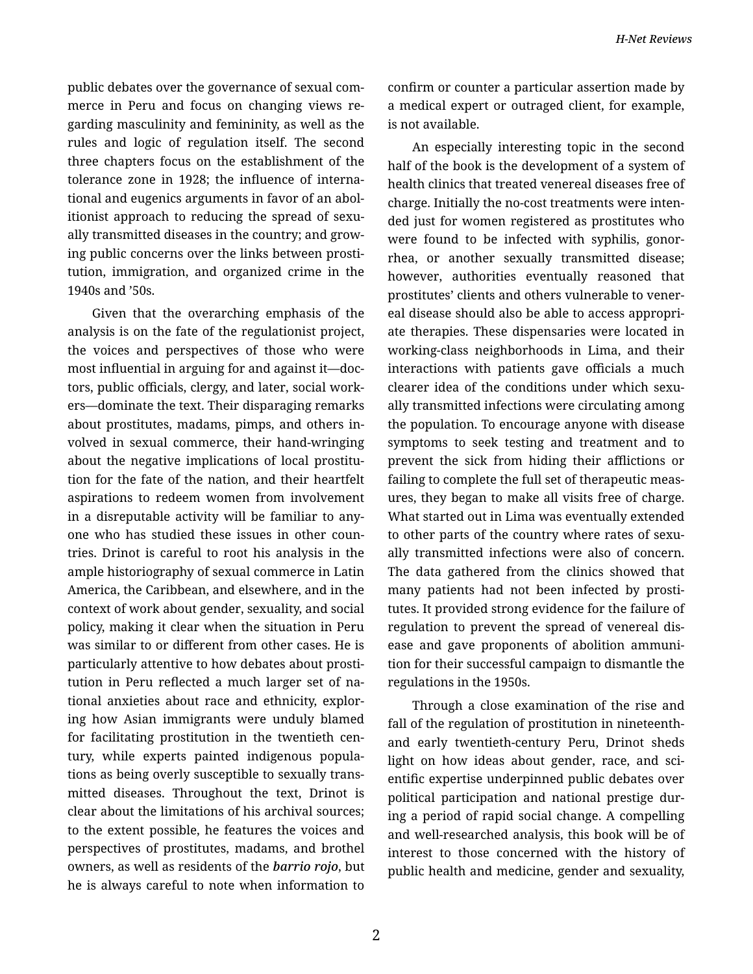public debates over the governance of sexual com‐ merce in Peru and focus on changing views re‐ garding masculinity and femininity, as well as the rules and logic of regulation itself. The second three chapters focus on the establishment of the tolerance zone in 1928; the influence of interna‐ tional and eugenics arguments in favor of an abol‐ itionist approach to reducing the spread of sexu‐ ally transmitted diseases in the country; and grow‐ ing public concerns over the links between prosti‐ tution, immigration, and organized crime in the 1940s and '50s.

Given that the overarching emphasis of the analysis is on the fate of the regulationist project, the voices and perspectives of those who were most influential in arguing for and against it—doc‐ tors, public officials, clergy, and later, social work‐ ers—dominate the text. Their disparaging remarks about prostitutes, madams, pimps, and others in‐ volved in sexual commerce, their hand-wringing about the negative implications of local prostitu‐ tion for the fate of the nation, and their heartfelt aspirations to redeem women from involvement in a disreputable activity will be familiar to any‐ one who has studied these issues in other coun‐ tries. Drinot is careful to root his analysis in the ample historiography of sexual commerce in Latin America, the Caribbean, and elsewhere, and in the context of work about gender, sexuality, and social policy, making it clear when the situation in Peru was similar to or different from other cases. He is particularly attentive to how debates about prosti‐ tution in Peru reflected a much larger set of na‐ tional anxieties about race and ethnicity, explor‐ ing how Asian immigrants were unduly blamed for facilitating prostitution in the twentieth cen‐ tury, while experts painted indigenous popula‐ tions as being overly susceptible to sexually trans‐ mitted diseases. Throughout the text, Drinot is clear about the limitations of his archival sources; to the extent possible, he features the voices and perspectives of prostitutes, madams, and brothel owners, as well as residents of the *barrio rojo*, but he is always careful to note when information to

confirm or counter a particular assertion made by a medical expert or outraged client, for example, is not available.

An especially interesting topic in the second half of the book is the development of a system of health clinics that treated venereal diseases free of charge. Initially the no-cost treatments were inten‐ ded just for women registered as prostitutes who were found to be infected with syphilis, gonorrhea, or another sexually transmitted disease; however, authorities eventually reasoned that prostitutes' clients and others vulnerable to vener‐ eal disease should also be able to access appropri‐ ate therapies. These dispensaries were located in working-class neighborhoods in Lima, and their interactions with patients gave officials a much clearer idea of the conditions under which sexu‐ ally transmitted infections were circulating among the population. To encourage anyone with disease symptoms to seek testing and treatment and to prevent the sick from hiding their afflictions or failing to complete the full set of therapeutic meas‐ ures, they began to make all visits free of charge. What started out in Lima was eventually extended to other parts of the country where rates of sexually transmitted infections were also of concern. The data gathered from the clinics showed that many patients had not been infected by prosti‐ tutes. It provided strong evidence for the failure of regulation to prevent the spread of venereal dis‐ ease and gave proponents of abolition ammuni‐ tion for their successful campaign to dismantle the regulations in the 1950s.

Through a close examination of the rise and fall of the regulation of prostitution in nineteenthand early twentieth-century Peru, Drinot sheds light on how ideas about gender, race, and scientific expertise underpinned public debates over political participation and national prestige dur‐ ing a period of rapid social change. A compelling and well-researched analysis, this book will be of interest to those concerned with the history of public health and medicine, gender and sexuality,

2